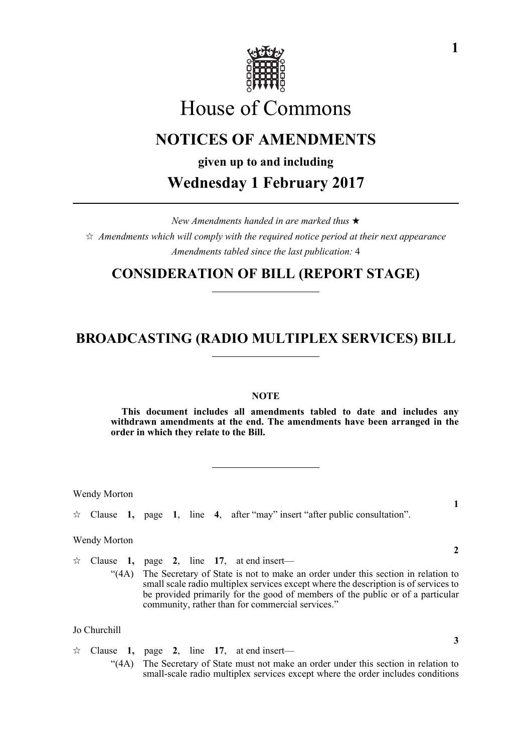

# House of Commons

# **NOTICES OF AMENDMENTS**

**given up to and including**

**Wednesday 1 February 2017**

*New Amendments handed in are marked thus Amendments which will comply with the required notice period at their next appearance Amendments tabled since the last publication:* 4

### **CONSIDERATION OF BILL (REPORT STAGE)**

## **BROADCASTING (RADIO MULTIPLEX SERVICES) BILL**

#### **NOTE**

**This document includes all amendments tabled to date and includes any withdrawn amendments at the end. The amendments have been arranged in the order in which they relate to the Bill.**

Wendy Morton

 $\hat{\varphi}$  Clause 1, page 1, line 4, after "may" insert "after public consultation".

Wendy Morton

 $\approx$  Clause **1,** page **2**, line **17**, at end insert— "(4A) The Secretary of State is not to make an order under this section in relation to small scale radio multiplex services except where the description is of services to be provided primarily for the good of members of the public or of a particular community, rather than for commercial services."

Jo Churchill

 $\approx$  Clause **1,** page **2**, line **17**, at end insert— "(4A) The Secretary of State must not make an order under this section in relation to small-scale radio multiplex services except where the order includes conditions

**1**

**2**

**3**